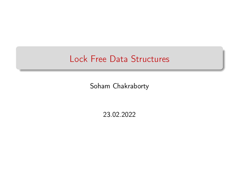# Lock Free Data Structures

Soham Chakraborty

23.02.2022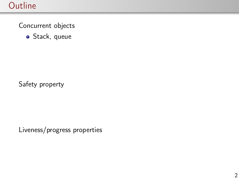### **Outline**

Concurrent objects

Stack, queue

Safety property

Liveness/progress properties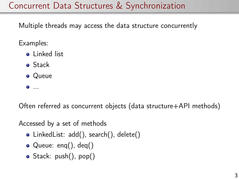# Concurrent Data Structures & Synchronization

Multiple threads may access the data structure concurrently

Examples:

- **o** Linked list
- **o** Stack
- Queue
- ...

Often referred as concurrent objects (data structure+API methods)

Accessed by a set of methods

- LinkedList: add(), search(), delete()
- Queue: eng(), deg()
- Stack: push(), pop()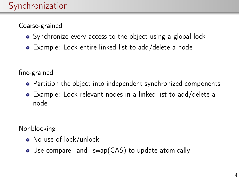#### Coarse-grained

- Synchronize every access to the object using a global lock
- Example: Lock entire linked-list to add/delete a node

fine-grained

- Partition the object into independent synchronized components
- Example: Lock relevant nodes in a linked-list to add/delete a node

Nonblocking

- No use of lock/unlock
- Use compare and swap(CAS) to update atomically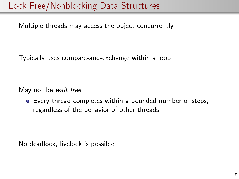# Lock Free/Nonblocking Data Structures

Multiple threads may access the object concurrently

Typically uses compare-and-exchange within a loop

May not be wait free

Every thread completes within a bounded number of steps, regardless of the behavior of other threads

No deadlock, livelock is possible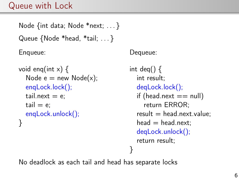#### Queue with Lock

```
Node {int data; Node *next; ... }
Queue {Node *head, *tail; ... }
Enqueue:
```

```
void enq(int x) {
  Node e = new Node(x);
  enqLock.lock();
  tail.next = e:
  tail = e:
  enqLock.unlock();
}
```
Dequeue:

int deq()  $\{$ int result; deqLock.lock(); if (head.next  $==$  null) return ERROR;  $result = head.next.value$ :  $head = head.next$ : deqLock.unlock(); return result; }

No deadlock as each tail and head has separate locks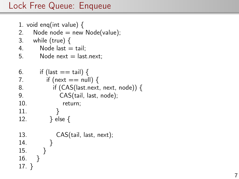```
1. void enq(int value) {
2. Node node = new Node(value);
3. while (true) {
4. Node last = tail:
5. Node next = last.next;
6. if (last == tail) {
7. if (next == null) {
8. if (CAS(last.next, next, node)) {
9. CAS(tail, last, node);
10. return;
11. }
12. } else {
13. CAS(tail, last, next);
14. }
15. }
16. }
17. }
```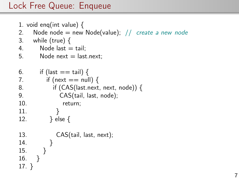```
1. void enq(int value) {
2. Node node = new Node(value); // create a new node
3. while (true) {
4. Node last = tail:
5. Node next = last.next;
6. if (last == tail) {
7. if (next == null) {
8. if (CAS(last.next, next, node)) {
9. CAS(tail, last, node);
10. return;
11. }
12. } else {
13. CAS(tail, last, next);
14. }
15. }
16. }
17. }
```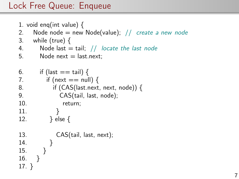```
1. void enq(int value) {
2. Node node = new Node(value); // create a new node
3. while (true) {
4. Node last = tail; // locate the last node
5. Node next = last.next;
6. if (last == tail) {
7. if (next == null) {
8. if (CAS(last.next, next, node)) {
9. CAS(tail, last, node);
10. return;
11. }
12. } else {
13. CAS(tail, last, next);
14. }
15. }
16. }
17. }
```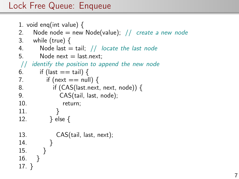```
1. void enq(int value) {
2. Node node = new Node(value); // create a new node
3. while (true) {
4. Node last = tail; // locate the last node
5. Node next = last.next:
// identify the position to append the new node
6. if (last == tail) {
7. if (next == null) {
8. if (CAS(last.next, next, node)) {
9. CAS(tail, last, node);
10. return;
11. }
12. } else {
13. CAS(tail, last, next);
14. }
15. }
16. }
17. }
```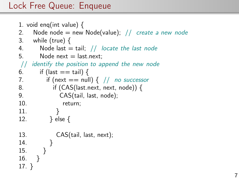```
1. void enq(int value) {
2. Node node = new Node(value); // create a new node
3. while (true) {
4. Node last = tail; // locate the last node
5. Node next = last.next:
// identify the position to append the new node
6. if (last == tail) {
7. if (next == null) { // no successor
8. if (CAS(last.next, next, node)) {
9. CAS(tail, last, node);
10. return;
11. }
12. } else {
13. CAS(tail, last, next);
14. }
15. }
16. }
17. }
```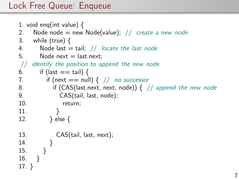```
1. void enq(int value) {
2. Node node = new Node(value); // create a new node
3. while (true) {
4. Node last = tail; // locate the last node
5. Node next = last.next:
// identify the position to append the new node
6. if (last == tail) {
7. if (next == null) { // no successor
8. if (CAS(last.next, next, node)) \frac{1}{2} // append the new node
9. CAS(tail, last, node);
10. return;
11. }
12. } else {
13. CAS(tail, last, next);
14. }
15. }
16. }
17. }
```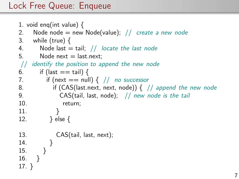```
1. void enq(int value) {
2. Node node = new Node(value); // create a new node
3. while (true) {
4. Node last = tail; // locate the last node
5. Node next = last.next:
// identify the position to append the new node
6. if (last == tail) {
7. if (next == null) { // no successor
8. if (CAS(last.next, next, node)) \{ // append the new node
9. CAS(tail, last, node); // new node is the tail
10. return;
11. }
12. } else {
13. CAS(tail, last, next);
14. }
15. }
16. }
17. }
```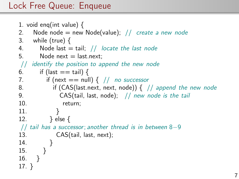```
1. void enq(int value) {
2. Node node = new Node(value); // create a new node
3. while (true) {
4. Node last = tail; // locate the last node
5. Node next = last.next:
// identify the position to append the new node
6. if (last == tail) {
7. if (next == null) { // no successor
8. if (CAS(last.next, next, node)) \frac{1}{2} // append the new node
9. CAS(tail, last, node); // new node is the tail
10. return;
11. }
12. } else {
// tail has a successor; another thread is in between 8−9
13. CAS(tail, last, next);
14. }
15. }
16. }
17. }
```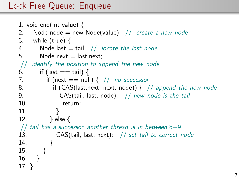```
1. void enq(int value) {
2. Node node = new Node(value); // create a new node
3. while (true) {
4. Node last = tail; // locate the last node
5. Node next = last.next:
// identify the position to append the new node
6. if (last == tail) {
7. if (next == null) { // no successor
8. if (CAS(last.next, next, node)) \frac{1}{2} // append the new node
9. CAS(tail, last, node); // new node is the tail
10. return;
11. }
12. \} else \{// tail has a successor; another thread is in between 8−9
13. CAS(tail, last, next); \frac{1}{s} set tail to correct node
14. }
15. }
16. }
17. }
```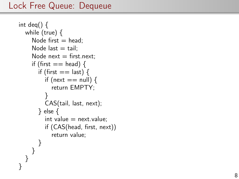```
int deq() \{while (true) {
     Node first = head;
     Node last = tail:
     Node next = first.next:
     if (first == head) {
       if (first == last) {
         if (next == null) {
            return EMPTY;
         }
         CAS(tail, last, next);
       } else {
         int value = next.value;if (CAS(head, first, next))
            return value;
       }
     }
  }
}
```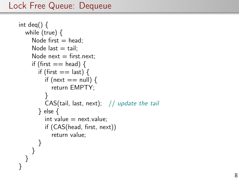```
int deq() \{while (true) {
     Node first = head;
     Node last = tail:
     Node next = first.next:
     if (first == head) {
       if (first == last) {
         if (next == null) {
            return EMPTY;
         }
         CAS(tail, last, next); // update the tail} else {
         int value = next.value:
         if (CAS(head, first, next))
            return value;
       }
     }
  }
}
```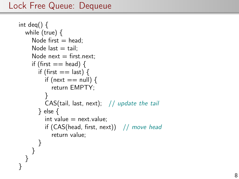```
int deq() \{while (true) {
    Node first = head:
    Node last = tail:
    Node next = first.next:
    if (first == head) {
       if (first == last) {
         if (next == null) {
            return EMPTY;
         }
         CAS(tail, last, next); // update the tail} else {
         int value = next. value:
         if (CAS(head, first, next)) // move head
            return value;
       }
     }
  }
}
```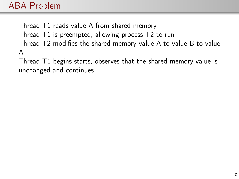### ABA Problem

Thread T1 reads value A from shared memory, Thread T1 is preempted, allowing process T2 to run Thread T2 modifies the shared memory value A to value B to value A

Thread T1 begins starts, observes that the shared memory value is unchanged and continues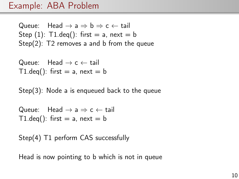#### Example: ABA Problem

Queue: Head  $\rightarrow$  a  $\Rightarrow$  b  $\Rightarrow$  c  $\leftarrow$  tail Step  $(1)$ : T1.deq $()$ : first = a, next = b Step(2): T2 removes a and b from the queue

Queue: Head  $\rightarrow$  c  $\leftarrow$  tail T1.deq(): first  $=$  a, next  $=$  b

Step(3): Node a is enqueued back to the queue

Queue: Head  $\rightarrow$  a  $\Rightarrow$  c  $\leftarrow$  tail T1.deq(): first  $=$  a, next  $=$  b

Step(4) T1 perform CAS successfully

Head is now pointing to b which is not in queue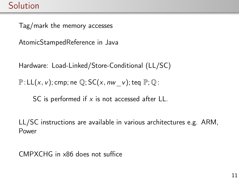Tag/mark the memory accesses

AtomicStampedReference in Java

Hardware: Load-Linked/Store-Conditional (LL/SC)

 $\mathbb{P}:\mathsf{LL}(x, v);$  cmp; ne  $\mathbb{Q};$  SC(x, nw v); teq  $\mathbb{P};$   $\mathbb{Q}$ :

SC is performed if  $x$  is not accessed after LL.

LL/SC instructions are available in various architectures e.g. ARM, Power

CMPXCHG in x86 does not suffice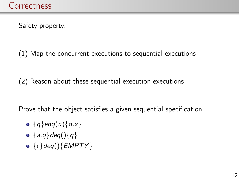Safety property:

(1) Map the concurrent executions to sequential executions

(2) Reason about these sequential execution executions

Prove that the object satisfies a given sequential specification

- ${q}$ enq(x) ${q.x}$
- ${a.q}deq({)}{q}$
- $\{ \epsilon \}$ deq(){EMPTY}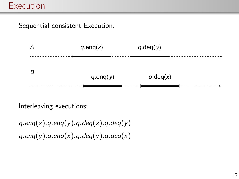Sequential consistent Execution:



Interleaving executions:

 $q$ .eng(x).g.eng(y).g.deg(x).g.deg(y)  $q.$ enq(y).q.enq(x).q.deq(y).q.deq(x)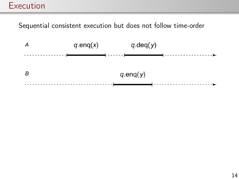Sequential consistent execution but does not follow time-order

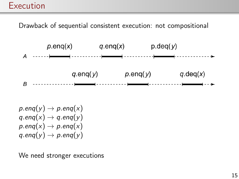Drawback of sequential consistent execution: not compositional



 $p.$ enq $(y) \rightarrow p.$ enq $(x)$  $q$ .eng $(x) \rightarrow q$ .eng $(y)$  $p.$ enq $(x) \rightarrow p.$ enq $(x)$  $q$ .eng $(y) \rightarrow p$ .eng $(y)$ 

We need stronger executions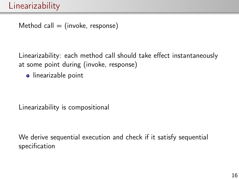Method call  $=$  (invoke, response)

Linearizability: each method call should take effect instantaneously at some point during (invoke, response)

• linearizable point

Linearizability is compositional

We derive sequential execution and check if it satisfy sequential specification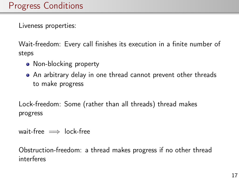Liveness properties:

Wait-freedom: Every call finishes its execution in a finite number of steps

- Non-blocking property
- An arbitrary delay in one thread cannot prevent other threads to make progress

Lock-freedom: Some (rather than all threads) thread makes progress

wait-free  $\implies$  lock-free

Obstruction-freedom: a thread makes progress if no other thread interferes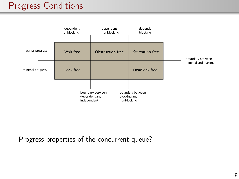## Progress Conditions



Progress properties of the concurrent queue?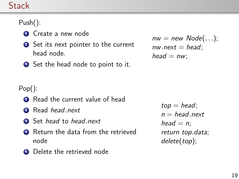#### Stack

#### Push():

- **1** Create a new node
- 2 Set its next pointer to the current head node.
- **3** Set the head node to point to it.

 $nw = new Node(...);$  $nw.next = head$ :  $head = nw$ :

#### Pop():

- **1** Read the current value of head
- **2** Read *head next*
- **3** Set head to head next
- **4** Return the data from the retrieved node
- **6** Delete the retrieved node

 $top = head;$  $n = head.next$ head  $= n$ ; return top.data; delete(top);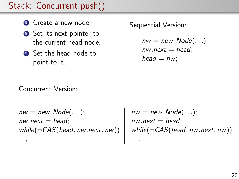# Stack: Concurrent push()

- **4** Create a new node
- **■** Set its next pointer to the current head node.
- **3** Set the head node to point to it.

Sequential Version:

 $nw = new Node(...);$  $nw.next = head$ :  $head = nw$ :

Concurrent Version:

 $nw = new Node(...);$  $nw.next = head;$ while( $\neg$ CAS(head, nw.next, nw)) ;

 $nw = new Node(...);$  $nw.next = head;$ while( $\neg$ CAS(head, nw.next, nw)) ;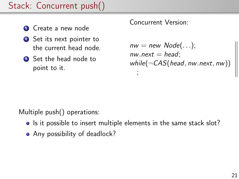# Stack: Concurrent push()

- **4** Create a new node
- **2** Set its next pointer to the current head node.
- **3** Set the head node to point to it.

#### Concurrent Version:

```
nw = new Node(...);nw.next = head;while(\neg \textit{CAS}(\textit{head}, \textit{nw}.\textit{next}, \textit{nw}));
```
Multiple push() operations:

- Is it possible to insert multiple elements in the same stack slot?
- Any possibility of deadlock?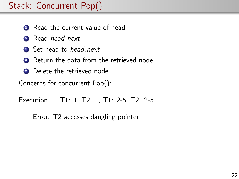- **1** Read the current value of head
- 2 Read head.next
- **3** Set head to head.next
- <sup>4</sup> Return the data from the retrieved node
- **6** Delete the retrieved node

Concerns for concurrent Pop():

Execution. T1: 1, T2: 1, T1: 2-5, T2: 2-5

Error: T2 accesses dangling pointer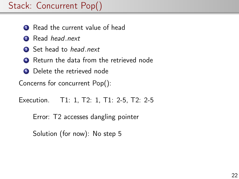- **1** Read the current value of head
- 2 Read head.next
- **3** Set head to head.next
- <sup>4</sup> Return the data from the retrieved node
- **6** Delete the retrieved node

Concerns for concurrent Pop():

Execution. T1: 1, T2: 1, T1: 2-5, T2: 2-5

Error: T2 accesses dangling pointer

Solution (for now): No step 5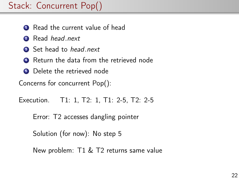- **1** Read the current value of head
- **2** Read *head* next
- **3** Set head to head.next
- <sup>4</sup> Return the data from the retrieved node
- **6** Delete the retrieved node

Concerns for concurrent Pop():

Execution. T1: 1, T2: 1, T1: 2-5, T2: 2-5

Error: T2 accesses dangling pointer

Solution (for now): No step 5

New problem: T1 & T2 returns same value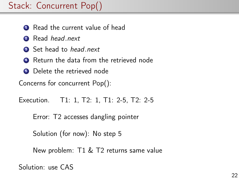- **1** Read the current value of head
- **2** Read *head* next
- **3** Set head to head.next
- <sup>4</sup> Return the data from the retrieved node
- **6** Delete the retrieved node

Concerns for concurrent Pop():

Execution. T1: 1, T2: 1, T1: 2-5, T2: 2-5

Error: T2 accesses dangling pointer

Solution (for now): No step 5

New problem: T1 & T2 returns same value

Solution: use CAS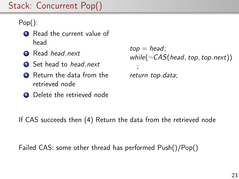Pop():

- **1** Read the current value of head
- **2** Read *head next*
- **3** Set head to head next
- **4** Return the data from the retrieved node
- **6** Delete the retrieved node

 $top = head;$ while( $\neg$ CAS(head, top, top.next)) ; return top.data;

If CAS succeeds then (4) Return the data from the retrieved node

Failed CAS: some other thread has performed Push()/Pop()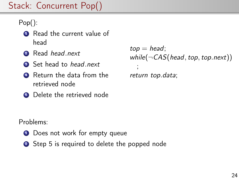Pop():

- **1** Read the current value of head
- **2** Read *head next*
- **3** Set head to head next
- **4** Return the data from the retrieved node
- **6** Delete the retrieved node

 $top = head;$ while( $\neg$ CAS(head, top, top.next)) ; return top.data;

Problems:

- **1** Does not work for empty queue
- 2 Step 5 is required to delete the popped node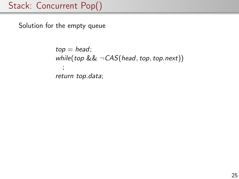Solution for the empty queue

```
top = head;while(top && \negCAS(head, top, top.next))
  ;
return top.data;
```